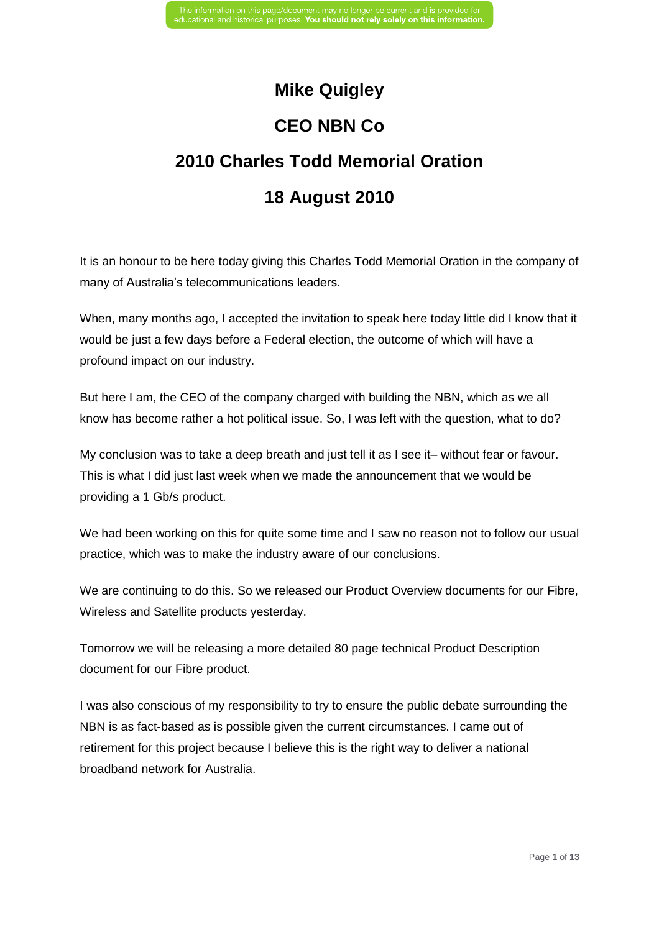### **Mike Quigley**

## **CEO NBN Co**

# **2010 Charles Todd Memorial Oration**

## **18 August 2010**

It is an honour to be here today giving this Charles Todd Memorial Oration in the company of many of Australia's telecommunications leaders.

When, many months ago, I accepted the invitation to speak here today little did I know that it would be just a few days before a Federal election, the outcome of which will have a profound impact on our industry.

But here I am, the CEO of the company charged with building the NBN, which as we all know has become rather a hot political issue. So, I was left with the question, what to do?

My conclusion was to take a deep breath and just tell it as I see it– without fear or favour. This is what I did just last week when we made the announcement that we would be providing a 1 Gb/s product.

We had been working on this for quite some time and I saw no reason not to follow our usual practice, which was to make the industry aware of our conclusions.

We are continuing to do this. So we released our Product Overview documents for our Fibre, Wireless and Satellite products yesterday.

Tomorrow we will be releasing a more detailed 80 page technical Product Description document for our Fibre product.

I was also conscious of my responsibility to try to ensure the public debate surrounding the NBN is as fact-based as is possible given the current circumstances. I came out of retirement for this project because I believe this is the right way to deliver a national broadband network for Australia.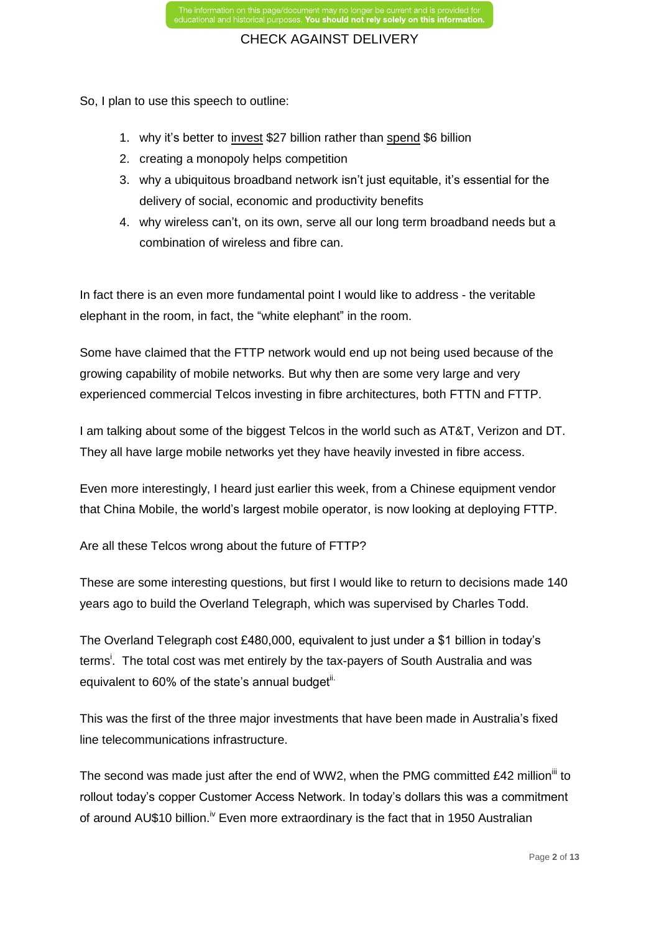So, I plan to use this speech to outline:

- 1. why it's better to invest \$27 billion rather than spend \$6 billion
- 2. creating a monopoly helps competition
- 3. why a ubiquitous broadband network isn't just equitable, it's essential for the delivery of social, economic and productivity benefits
- 4. why wireless can't, on its own, serve all our long term broadband needs but a combination of wireless and fibre can.

In fact there is an even more fundamental point I would like to address - the veritable elephant in the room, in fact, the "white elephant" in the room.

Some have claimed that the FTTP network would end up not being used because of the growing capability of mobile networks. But why then are some very large and very experienced commercial Telcos investing in fibre architectures, both FTTN and FTTP.

I am talking about some of the biggest Telcos in the world such as AT&T, Verizon and DT. They all have large mobile networks yet they have heavily invested in fibre access.

Even more interestingly, I heard just earlier this week, from a Chinese equipment vendor that China Mobile, the world's largest mobile operator, is now looking at deploying FTTP.

Are all these Telcos wrong about the future of FTTP?

These are some interesting questions, but first I would like to return to decisions made 140 years ago to build the Overland Telegraph, which was supervised by Charles Todd.

The Overland Telegraph cost £480,000, equivalent to just under a \$1 billion in today's terms<sup>i</sup>. The total cost was met entirely by the tax-payers of South Australia and was equivalent to 60% of the state's annual budget<sup>ii.</sup>

This was the first of the three major investments that have been made in Australia's fixed line telecommunications infrastructure.

The second was made just after the end of WW2, when the PMG committed £42 million<sup>iii</sup> to rollout today's copper Customer Access Network. In today's dollars this was a commitment of around AU\$10 billion.<sup>iv</sup> Even more extraordinary is the fact that in 1950 Australian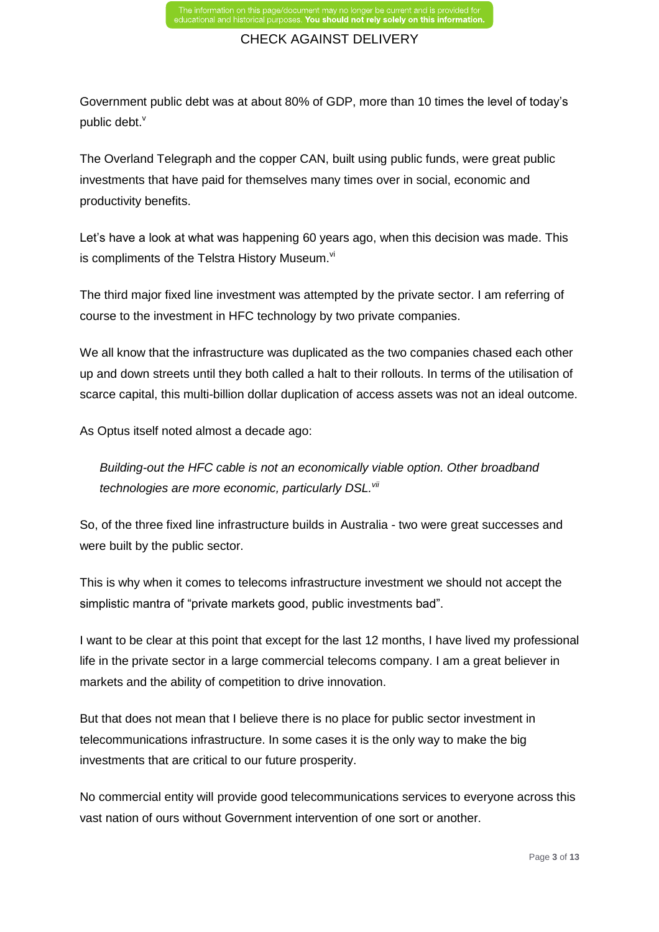Government public debt was at about 80% of GDP, more than 10 times the level of today's public debt. $^{\mathsf{v}}$ 

The Overland Telegraph and the copper CAN, built using public funds, were great public investments that have paid for themselves many times over in social, economic and productivity benefits.

Let's have a look at what was happening 60 years ago, when this decision was made. This is compliments of the Telstra History Museum.<sup>vi</sup>

The third major fixed line investment was attempted by the private sector. I am referring of course to the investment in HFC technology by two private companies.

We all know that the infrastructure was duplicated as the two companies chased each other up and down streets until they both called a halt to their rollouts. In terms of the utilisation of scarce capital, this multi-billion dollar duplication of access assets was not an ideal outcome.

As Optus itself noted almost a decade ago:

*Building-out the HFC cable is not an economically viable option. Other broadband technologies are more economic, particularly DSL.vii*

So, of the three fixed line infrastructure builds in Australia - two were great successes and were built by the public sector.

This is why when it comes to telecoms infrastructure investment we should not accept the simplistic mantra of "private markets good, public investments bad".

I want to be clear at this point that except for the last 12 months, I have lived my professional life in the private sector in a large commercial telecoms company. I am a great believer in markets and the ability of competition to drive innovation.

But that does not mean that I believe there is no place for public sector investment in telecommunications infrastructure. In some cases it is the only way to make the big investments that are critical to our future prosperity.

No commercial entity will provide good telecommunications services to everyone across this vast nation of ours without Government intervention of one sort or another.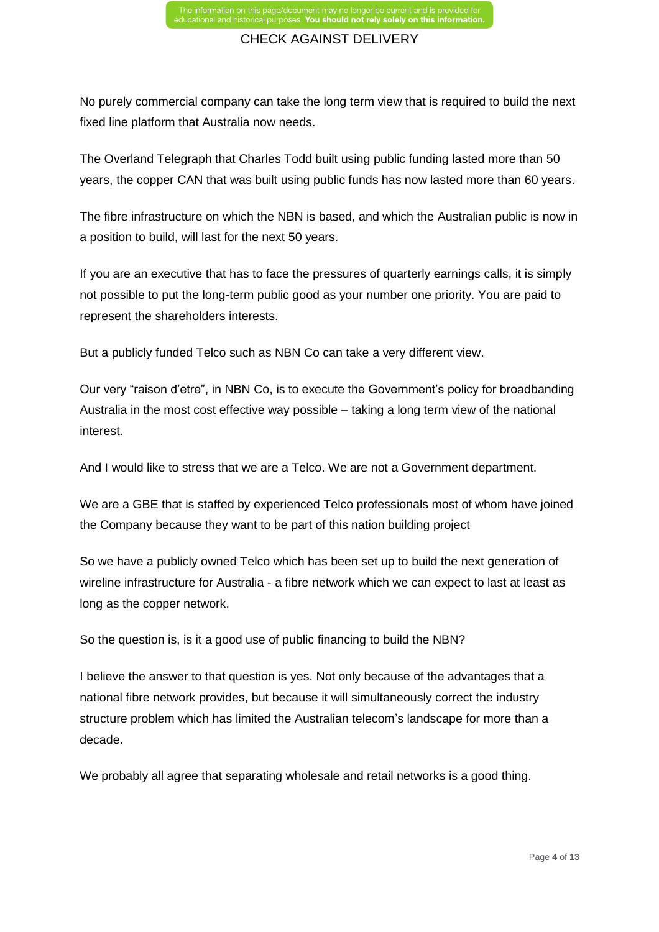No purely commercial company can take the long term view that is required to build the next fixed line platform that Australia now needs.

The Overland Telegraph that Charles Todd built using public funding lasted more than 50 years, the copper CAN that was built using public funds has now lasted more than 60 years.

The fibre infrastructure on which the NBN is based, and which the Australian public is now in a position to build, will last for the next 50 years.

If you are an executive that has to face the pressures of quarterly earnings calls, it is simply not possible to put the long-term public good as your number one priority. You are paid to represent the shareholders interests.

But a publicly funded Telco such as NBN Co can take a very different view.

Our very "raison d'etre", in NBN Co, is to execute the Government's policy for broadbanding Australia in the most cost effective way possible – taking a long term view of the national interest.

And I would like to stress that we are a Telco. We are not a Government department.

We are a GBE that is staffed by experienced Telco professionals most of whom have joined the Company because they want to be part of this nation building project

So we have a publicly owned Telco which has been set up to build the next generation of wireline infrastructure for Australia - a fibre network which we can expect to last at least as long as the copper network.

So the question is, is it a good use of public financing to build the NBN?

I believe the answer to that question is yes. Not only because of the advantages that a national fibre network provides, but because it will simultaneously correct the industry structure problem which has limited the Australian telecom's landscape for more than a decade.

We probably all agree that separating wholesale and retail networks is a good thing.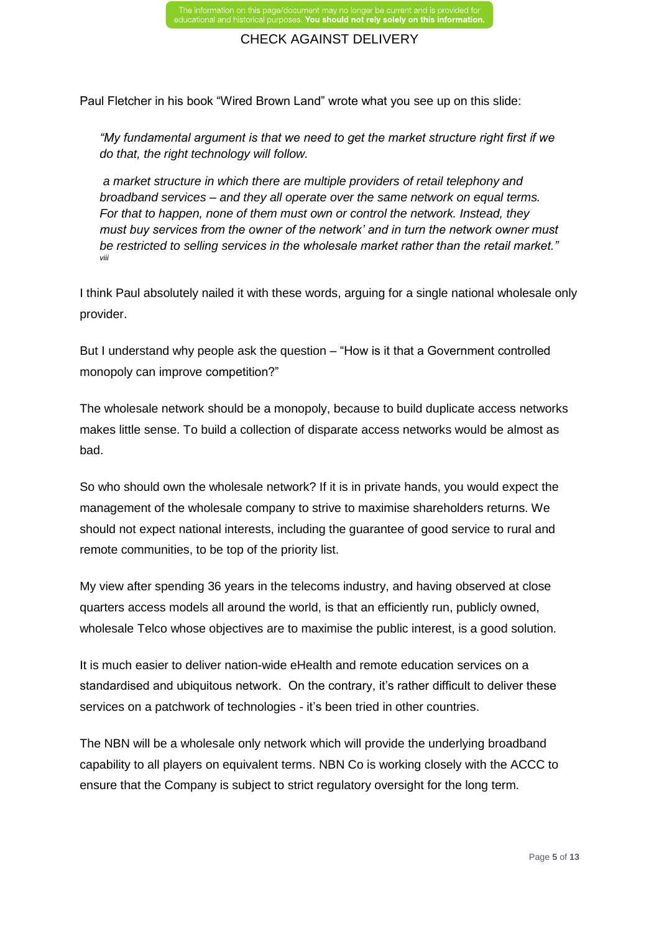Paul Fletcher in his book "Wired Brown Land" wrote what you see up on this slide:

*"My fundamental argument is that we need to get the market structure right first if we do that, the right technology will follow.* 

 *a market structure in which there are multiple providers of retail telephony and broadband services – and they all operate over the same network on equal terms. For that to happen, none of them must own or control the network. Instead, they must buy services from the owner of the network' and in turn the network owner must be restricted to selling services in the wholesale market rather than the retail market." viii*

I think Paul absolutely nailed it with these words, arguing for a single national wholesale only provider.

But I understand why people ask the question – "How is it that a Government controlled monopoly can improve competition?"

The wholesale network should be a monopoly, because to build duplicate access networks makes little sense. To build a collection of disparate access networks would be almost as bad.

So who should own the wholesale network? If it is in private hands, you would expect the management of the wholesale company to strive to maximise shareholders returns. We should not expect national interests, including the guarantee of good service to rural and remote communities, to be top of the priority list.

My view after spending 36 years in the telecoms industry, and having observed at close quarters access models all around the world, is that an efficiently run, publicly owned, wholesale Telco whose objectives are to maximise the public interest, is a good solution.

It is much easier to deliver nation-wide eHealth and remote education services on a standardised and ubiquitous network. On the contrary, it's rather difficult to deliver these services on a patchwork of technologies - it's been tried in other countries.

The NBN will be a wholesale only network which will provide the underlying broadband capability to all players on equivalent terms. NBN Co is working closely with the ACCC to ensure that the Company is subject to strict regulatory oversight for the long term.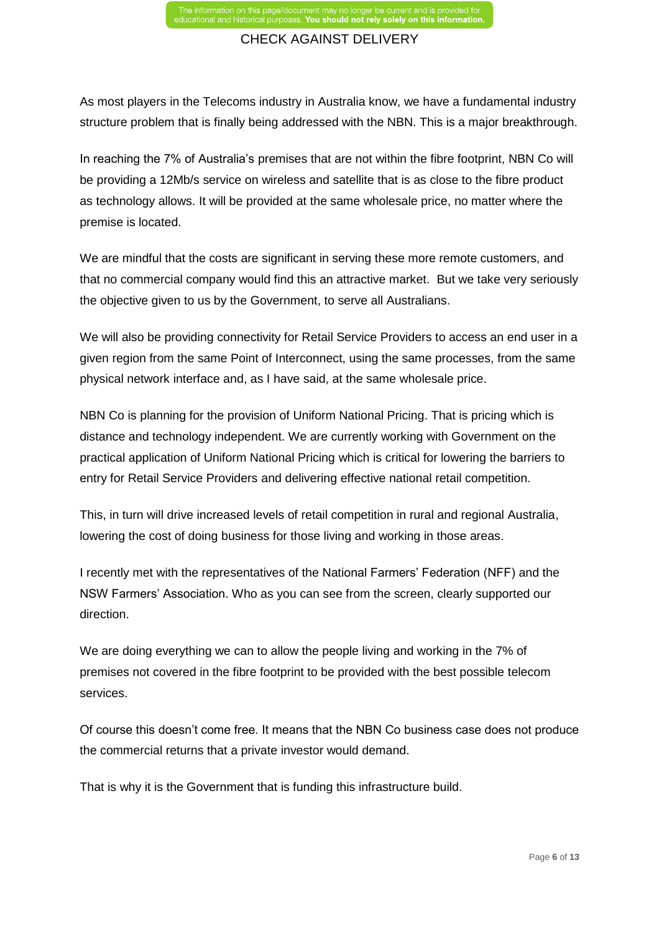As most players in the Telecoms industry in Australia know, we have a fundamental industry structure problem that is finally being addressed with the NBN. This is a major breakthrough.

In reaching the 7% of Australia's premises that are not within the fibre footprint, NBN Co will be providing a 12Mb/s service on wireless and satellite that is as close to the fibre product as technology allows. It will be provided at the same wholesale price, no matter where the premise is located.

We are mindful that the costs are significant in serving these more remote customers, and that no commercial company would find this an attractive market. But we take very seriously the objective given to us by the Government, to serve all Australians.

We will also be providing connectivity for Retail Service Providers to access an end user in a given region from the same Point of Interconnect, using the same processes, from the same physical network interface and, as I have said, at the same wholesale price.

NBN Co is planning for the provision of Uniform National Pricing. That is pricing which is distance and technology independent. We are currently working with Government on the practical application of Uniform National Pricing which is critical for lowering the barriers to entry for Retail Service Providers and delivering effective national retail competition.

This, in turn will drive increased levels of retail competition in rural and regional Australia, lowering the cost of doing business for those living and working in those areas.

I recently met with the representatives of the National Farmers' Federation (NFF) and the NSW Farmers' Association. Who as you can see from the screen, clearly supported our direction.

We are doing everything we can to allow the people living and working in the 7% of premises not covered in the fibre footprint to be provided with the best possible telecom services.

Of course this doesn't come free. It means that the NBN Co business case does not produce the commercial returns that a private investor would demand.

That is why it is the Government that is funding this infrastructure build.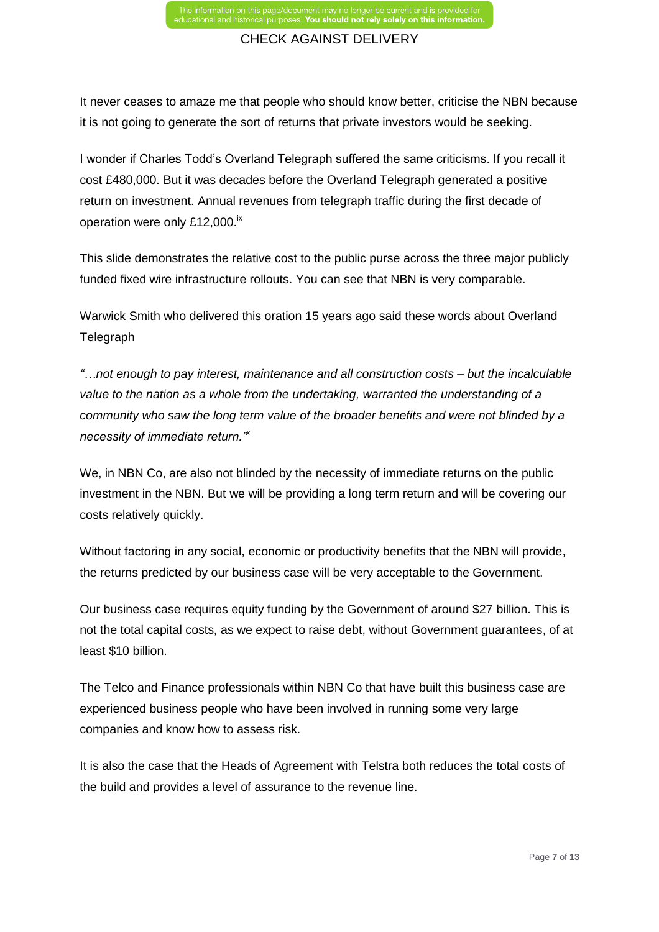It never ceases to amaze me that people who should know better, criticise the NBN because it is not going to generate the sort of returns that private investors would be seeking.

I wonder if Charles Todd's Overland Telegraph suffered the same criticisms. If you recall it cost £480,000. But it was decades before the Overland Telegraph generated a positive return on investment. Annual revenues from telegraph traffic during the first decade of operation were only £12,000.<sup>ix</sup>

This slide demonstrates the relative cost to the public purse across the three major publicly funded fixed wire infrastructure rollouts. You can see that NBN is very comparable.

Warwick Smith who delivered this oration 15 years ago said these words about Overland **Telegraph** 

*"…not enough to pay interest, maintenance and all construction costs – but the incalculable value to the nation as a whole from the undertaking, warranted the understanding of a community who saw the long term value of the broader benefits and were not blinded by a necessity of immediate return."<sup>x</sup>*

We, in NBN Co, are also not blinded by the necessity of immediate returns on the public investment in the NBN. But we will be providing a long term return and will be covering our costs relatively quickly.

Without factoring in any social, economic or productivity benefits that the NBN will provide, the returns predicted by our business case will be very acceptable to the Government.

Our business case requires equity funding by the Government of around \$27 billion. This is not the total capital costs, as we expect to raise debt, without Government guarantees, of at least \$10 billion.

The Telco and Finance professionals within NBN Co that have built this business case are experienced business people who have been involved in running some very large companies and know how to assess risk.

It is also the case that the Heads of Agreement with Telstra both reduces the total costs of the build and provides a level of assurance to the revenue line.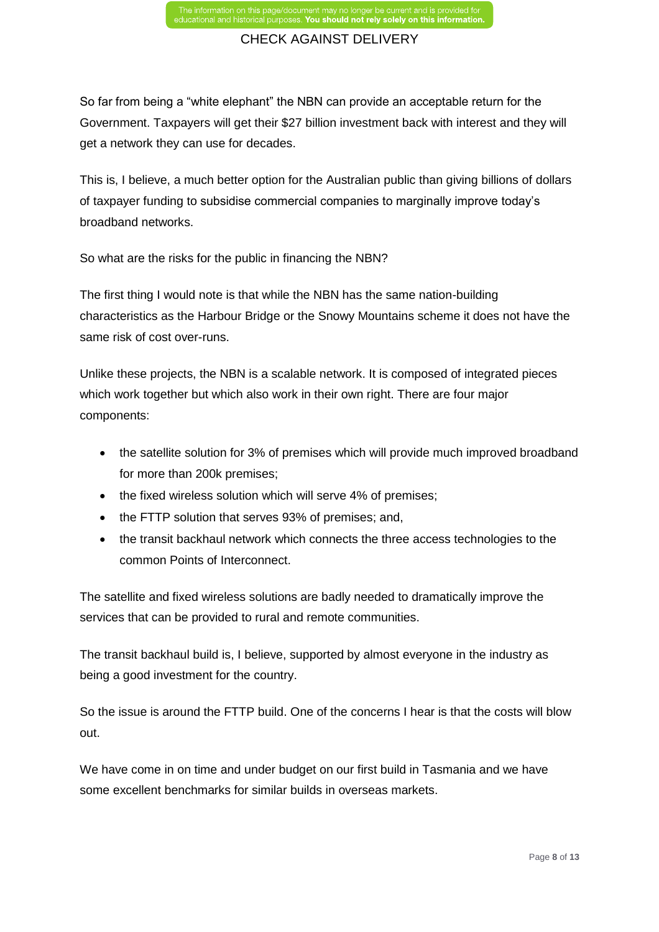So far from being a "white elephant" the NBN can provide an acceptable return for the Government. Taxpayers will get their \$27 billion investment back with interest and they will get a network they can use for decades.

This is, I believe, a much better option for the Australian public than giving billions of dollars of taxpayer funding to subsidise commercial companies to marginally improve today's broadband networks.

So what are the risks for the public in financing the NBN?

The first thing I would note is that while the NBN has the same nation-building characteristics as the Harbour Bridge or the Snowy Mountains scheme it does not have the same risk of cost over-runs.

Unlike these projects, the NBN is a scalable network. It is composed of integrated pieces which work together but which also work in their own right. There are four major components:

- the satellite solution for 3% of premises which will provide much improved broadband for more than 200k premises;
- the fixed wireless solution which will serve 4% of premises;
- the FTTP solution that serves 93% of premises; and,
- the transit backhaul network which connects the three access technologies to the common Points of Interconnect.

The satellite and fixed wireless solutions are badly needed to dramatically improve the services that can be provided to rural and remote communities.

The transit backhaul build is, I believe, supported by almost everyone in the industry as being a good investment for the country.

So the issue is around the FTTP build. One of the concerns I hear is that the costs will blow out.

We have come in on time and under budget on our first build in Tasmania and we have some excellent benchmarks for similar builds in overseas markets.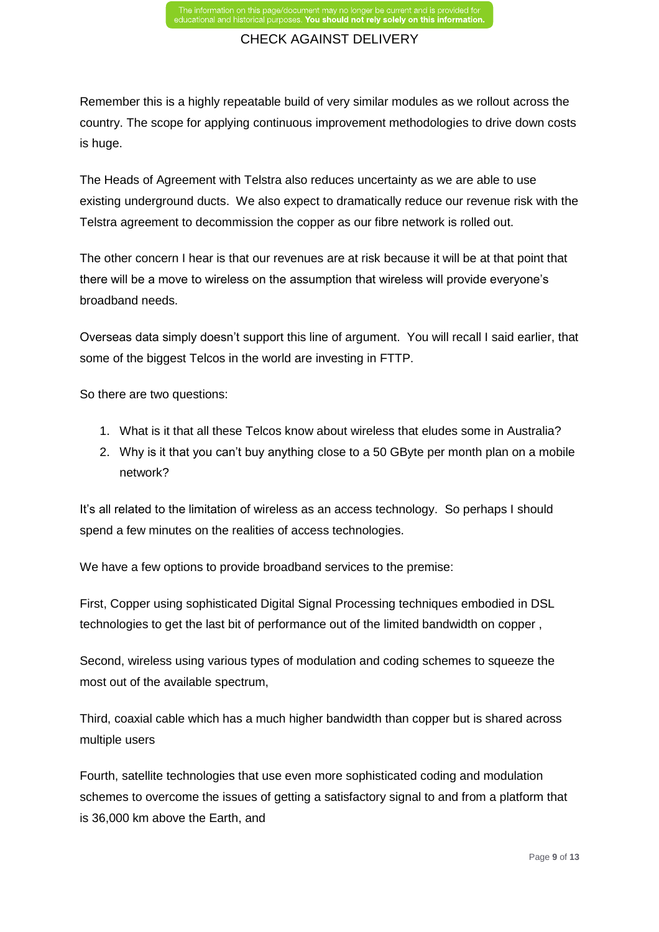Remember this is a highly repeatable build of very similar modules as we rollout across the country. The scope for applying continuous improvement methodologies to drive down costs is huge.

The Heads of Agreement with Telstra also reduces uncertainty as we are able to use existing underground ducts. We also expect to dramatically reduce our revenue risk with the Telstra agreement to decommission the copper as our fibre network is rolled out.

The other concern I hear is that our revenues are at risk because it will be at that point that there will be a move to wireless on the assumption that wireless will provide everyone's broadband needs.

Overseas data simply doesn't support this line of argument. You will recall I said earlier, that some of the biggest Telcos in the world are investing in FTTP.

So there are two questions:

- 1. What is it that all these Telcos know about wireless that eludes some in Australia?
- 2. Why is it that you can't buy anything close to a 50 GByte per month plan on a mobile network?

It's all related to the limitation of wireless as an access technology. So perhaps I should spend a few minutes on the realities of access technologies.

We have a few options to provide broadband services to the premise:

First, Copper using sophisticated Digital Signal Processing techniques embodied in DSL technologies to get the last bit of performance out of the limited bandwidth on copper ,

Second, wireless using various types of modulation and coding schemes to squeeze the most out of the available spectrum,

Third, coaxial cable which has a much higher bandwidth than copper but is shared across multiple users

Fourth, satellite technologies that use even more sophisticated coding and modulation schemes to overcome the issues of getting a satisfactory signal to and from a platform that is 36,000 km above the Earth, and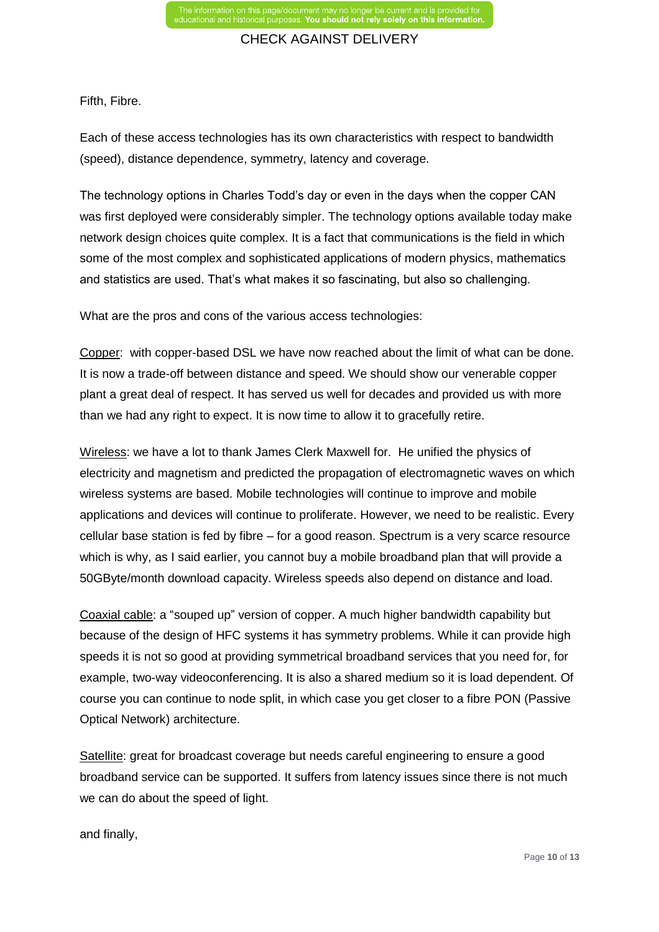Fifth, Fibre.

Each of these access technologies has its own characteristics with respect to bandwidth (speed), distance dependence, symmetry, latency and coverage.

The technology options in Charles Todd's day or even in the days when the copper CAN was first deployed were considerably simpler. The technology options available today make network design choices quite complex. It is a fact that communications is the field in which some of the most complex and sophisticated applications of modern physics, mathematics and statistics are used. That's what makes it so fascinating, but also so challenging.

What are the pros and cons of the various access technologies:

Copper: with copper-based DSL we have now reached about the limit of what can be done. It is now a trade-off between distance and speed. We should show our venerable copper plant a great deal of respect. It has served us well for decades and provided us with more than we had any right to expect. It is now time to allow it to gracefully retire.

Wireless: we have a lot to thank James Clerk Maxwell for. He unified the physics of electricity and magnetism and predicted the propagation of electromagnetic waves on which wireless systems are based. Mobile technologies will continue to improve and mobile applications and devices will continue to proliferate. However, we need to be realistic. Every cellular base station is fed by fibre – for a good reason. Spectrum is a very scarce resource which is why, as I said earlier, you cannot buy a mobile broadband plan that will provide a 50GByte/month download capacity. Wireless speeds also depend on distance and load.

Coaxial cable: a "souped up" version of copper. A much higher bandwidth capability but because of the design of HFC systems it has symmetry problems. While it can provide high speeds it is not so good at providing symmetrical broadband services that you need for, for example, two-way videoconferencing. It is also a shared medium so it is load dependent. Of course you can continue to node split, in which case you get closer to a fibre PON (Passive Optical Network) architecture.

Satellite: great for broadcast coverage but needs careful engineering to ensure a good broadband service can be supported. It suffers from latency issues since there is not much we can do about the speed of light.

and finally,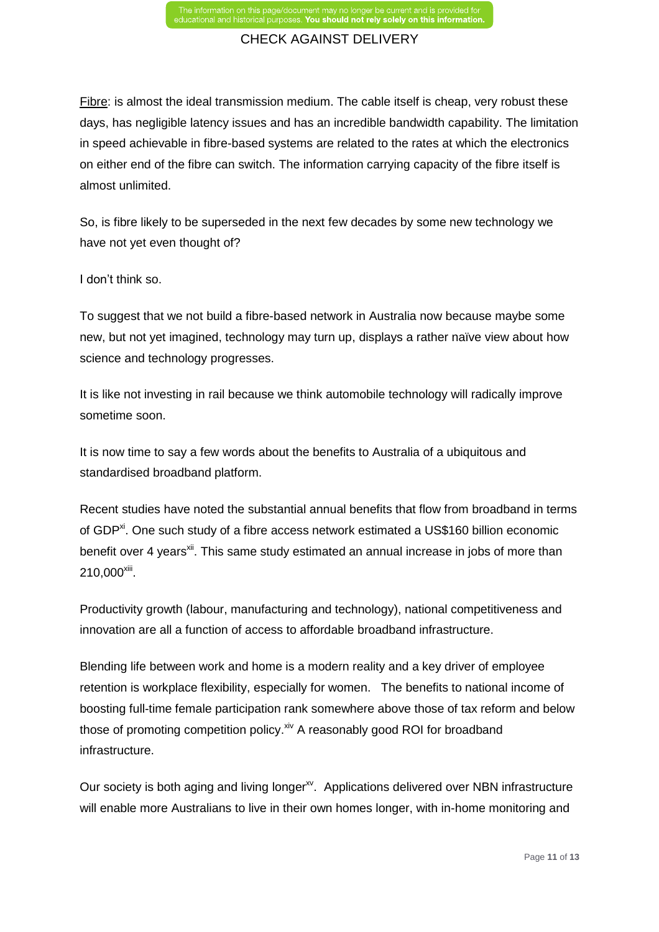Fibre: is almost the ideal transmission medium. The cable itself is cheap, very robust these days, has negligible latency issues and has an incredible bandwidth capability. The limitation in speed achievable in fibre-based systems are related to the rates at which the electronics on either end of the fibre can switch. The information carrying capacity of the fibre itself is almost unlimited.

So, is fibre likely to be superseded in the next few decades by some new technology we have not yet even thought of?

I don't think so.

To suggest that we not build a fibre-based network in Australia now because maybe some new, but not yet imagined, technology may turn up, displays a rather naïve view about how science and technology progresses.

It is like not investing in rail because we think automobile technology will radically improve sometime soon.

It is now time to say a few words about the benefits to Australia of a ubiquitous and standardised broadband platform.

Recent studies have noted the substantial annual benefits that flow from broadband in terms of GDP<sup>xi</sup>. One such study of a fibre access network estimated a US\$160 billion economic benefit over 4 years<sup>xii</sup>. This same study estimated an annual increase in jobs of more than  $210,000^{\rm xiii}$ .

Productivity growth (labour, manufacturing and technology), national competitiveness and innovation are all a function of access to affordable broadband infrastructure.

Blending life between work and home is a modern reality and a key driver of employee retention is workplace flexibility, especially for women. The benefits to national income of boosting full-time female participation rank somewhere above those of tax reform and below those of promoting competition policy. Xiv A reasonably good ROI for broadband infrastructure.

Our society is both aging and living longer<sup>xy</sup>. Applications delivered over NBN infrastructure will enable more Australians to live in their own homes longer, with in-home monitoring and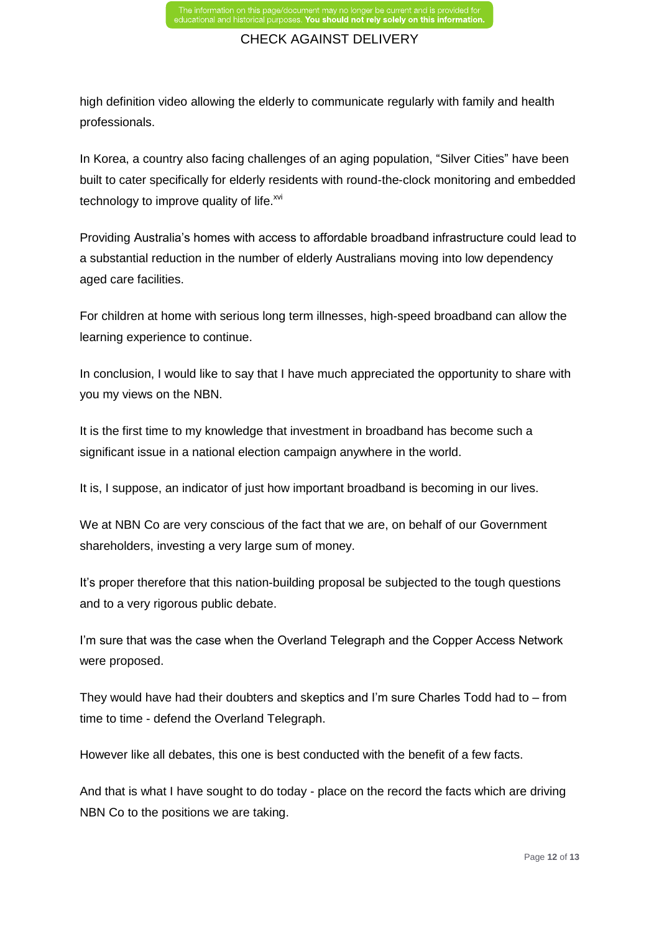high definition video allowing the elderly to communicate regularly with family and health professionals.

In Korea, a country also facing challenges of an aging population, "Silver Cities" have been built to cater specifically for elderly residents with round-the-clock monitoring and embedded technology to improve quality of life. $^{xvi}$ 

Providing Australia's homes with access to affordable broadband infrastructure could lead to a substantial reduction in the number of elderly Australians moving into low dependency aged care facilities.

For children at home with serious long term illnesses, high-speed broadband can allow the learning experience to continue.

In conclusion, I would like to say that I have much appreciated the opportunity to share with you my views on the NBN.

It is the first time to my knowledge that investment in broadband has become such a significant issue in a national election campaign anywhere in the world.

It is, I suppose, an indicator of just how important broadband is becoming in our lives.

We at NBN Co are very conscious of the fact that we are, on behalf of our Government shareholders, investing a very large sum of money.

It's proper therefore that this nation-building proposal be subjected to the tough questions and to a very rigorous public debate.

I'm sure that was the case when the Overland Telegraph and the Copper Access Network were proposed.

They would have had their doubters and skeptics and I'm sure Charles Todd had to – from time to time - defend the Overland Telegraph.

However like all debates, this one is best conducted with the benefit of a few facts.

And that is what I have sought to do today - place on the record the facts which are driving NBN Co to the positions we are taking.